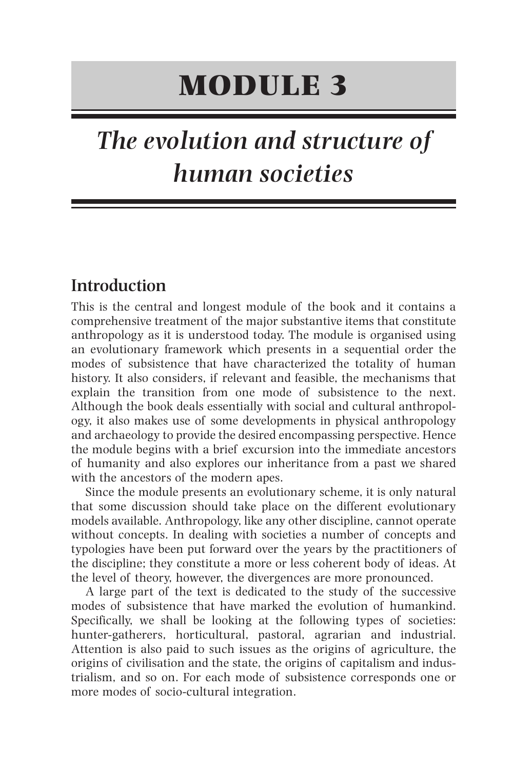# **MODULE 3**

# *The evolution and structure of human societies*

## **Introduction**

This is the central and longest module of the book and it contains a comprehensive treatment of the major substantive items that constitute anthropology as it is understood today. The module is organised using an evolutionary framework which presents in a sequential order the modes of subsistence that have characterized the totality of human history. It also considers, if relevant and feasible, the mechanisms that explain the transition from one mode of subsistence to the next. Although the book deals essentially with social and cultural anthropology, it also makes use of some developments in physical anthropology and archaeology to provide the desired encompassing perspective. Hence the module begins with a brief excursion into the immediate ancestors of humanity and also explores our inheritance from a past we shared with the ancestors of the modern apes.

Since the module presents an evolutionary scheme, it is only natural that some discussion should take place on the different evolutionary models available. Anthropology, like any other discipline, cannot operate without concepts. In dealing with societies a number of concepts and typologies have been put forward over the years by the practitioners of the discipline; they constitute a more or less coherent body of ideas. At the level of theory, however, the divergences are more pronounced.

A large part of the text is dedicated to the study of the successive modes of subsistence that have marked the evolution of humankind. Specifically, we shall be looking at the following types of societies: hunter-gatherers, horticultural, pastoral, agrarian and industrial. Attention is also paid to such issues as the origins of agriculture, the origins of civilisation and the state, the origins of capitalism and industrialism, and so on. For each mode of subsistence corresponds one or more modes of socio-cultural integration.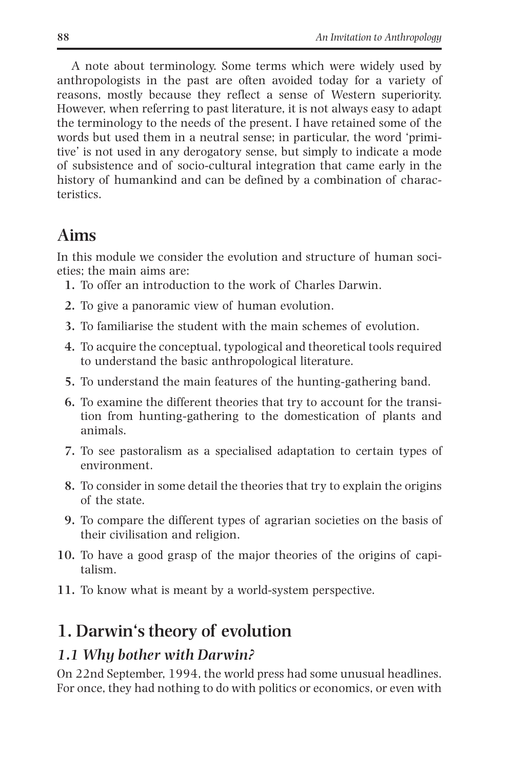A note about terminology. Some terms which were widely used by anthropologists in the past are often avoided today for a variety of reasons, mostly because they reflect a sense of Western superiority. However, when referring to past literature, it is not always easy to adapt the terminology to the needs of the present. I have retained some of the words but used them in a neutral sense; in particular, the word 'primitive' is not used in any derogatory sense, but simply to indicate a mode of subsistence and of socio-cultural integration that came early in the history of humankind and can be defined by a combination of characteristics.

# **Aims**

In this module we consider the evolution and structure of human societies; the main aims are:

- **1.** To offer an introduction to the work of Charles Darwin.
- **2.** To give a panoramic view of human evolution.
- **3.** To familiarise the student with the main schemes of evolution.
- **4.** To acquire the conceptual, typological and theoretical tools required to understand the basic anthropological literature.
- **5.** To understand the main features of the hunting-gathering band.
- **6.** To examine the different theories that try to account for the transition from hunting-gathering to the domestication of plants and animals.
- **7.** To see pastoralism as a specialised adaptation to certain types of environment.
- **8.** To consider in some detail the theories that try to explain the origins of the state.
- **9.** To compare the different types of agrarian societies on the basis of their civilisation and religion.
- **10.** To have a good grasp of the major theories of the origins of capitalism.
- **11.** To know what is meant by a world-system perspective.

# **1. Darwin's theory of evolution**

## *1.1 Why bother with Darwin?*

On 22nd September, 1994, the world press had some unusual headlines. For once, they had nothing to do with politics or economics, or even with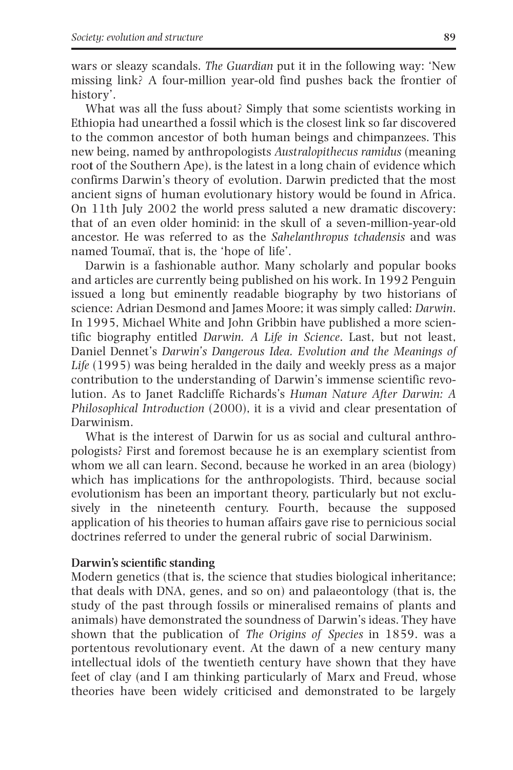wars or sleazy scandals. *The Guardian* put it in the following way: 'New missing link? A four-million year-old find pushes back the frontier of history'.

What was all the fuss about? Simply that some scientists working in Ethiopia had unearthed a fossil which is the closest link so far discovered to the common ancestor of both human beings and chimpanzees. This new being, named by anthropologists *Australopithecus ramidus* (meaning roo**t** of the Southern Ape), is the latest in a long chain of evidence which confirms Darwin's theory of evolution. Darwin predicted that the most ancient signs of human evolutionary history would be found in Africa. On 11th July 2002 the world press saluted a new dramatic discovery: that of an even older hominid: in the skull of a seven-million-year-old ancestor. He was referred to as the *Sahelanthropus tchadensis* and was named Toumaï, that is, the 'hope of life'.

Darwin is a fashionable author. Many scholarly and popular books and articles are currently being published on his work. In 1992 Penguin issued a long but eminently readable biography by two historians of science: Adrian Desmond and James Moore; it was simply called: *Darwin*. In 1995, Michael White and John Gribbin have published a more scientific biography entitled *Darwin. A Life in Science*. Last, but not least, Daniel Dennet's *Darwin's Dangerous Idea. Evolution and the Meanings of Life* (1995) was being heralded in the daily and weekly press as a major contribution to the understanding of Darwin's immense scientific revolution. As to Janet Radcliffe Richards's *Human Nature After Darwin: A Philosophical Introduction* (2000), it is a vivid and clear presentation of Darwinism.

What is the interest of Darwin for us as social and cultural anthropologists? First and foremost because he is an exemplary scientist from whom we all can learn. Second, because he worked in an area (biology) which has implications for the anthropologists. Third, because social evolutionism has been an important theory, particularly but not exclusively in the nineteenth century. Fourth, because the supposed application of his theories to human affairs gave rise to pernicious social doctrines referred to under the general rubric of social Darwinism.

#### **Darwin's scientific standing**

Modern genetics (that is, the science that studies biological inheritance; that deals with DNA, genes, and so on) and palaeontology (that is, the study of the past through fossils or mineralised remains of plants and animals) have demonstrated the soundness of Darwin's ideas. They have shown that the publication of *The Origins of Species* in 1859. was a portentous revolutionary event. At the dawn of a new century many intellectual idols of the twentieth century have shown that they have feet of clay (and I am thinking particularly of Marx and Freud, whose theories have been widely criticised and demonstrated to be largely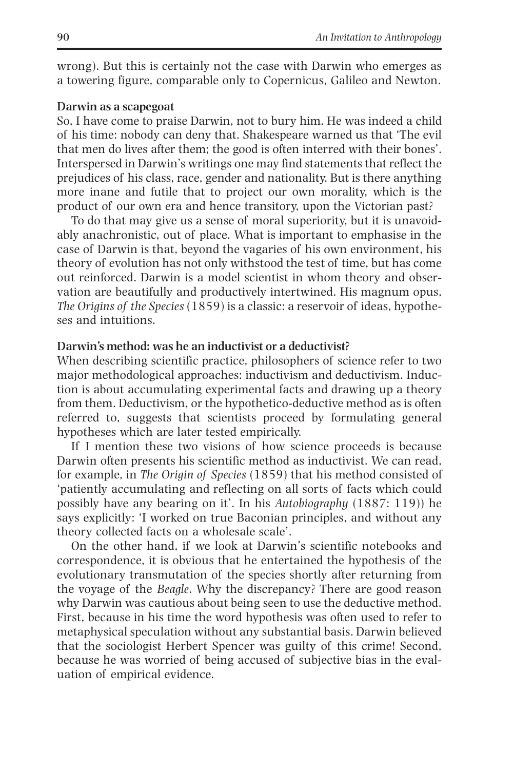wrong). But this is certainly not the case with Darwin who emerges as a towering figure, comparable only to Copernicus, Galileo and Newton.

#### **Darwin as a scapegoat**

So, I have come to praise Darwin, not to bury him. He was indeed a child of his time: nobody can deny that. Shakespeare warned us that 'The evil that men do lives after them; the good is often interred with their bones'. Interspersed in Darwin's writings one may find statements that reflect the prejudices of his class, race, gender and nationality. But is there anything more inane and futile that to project our own morality, which is the product of our own era and hence transitory, upon the Victorian past?

To do that may give us a sense of moral superiority, but it is unavoidably anachronistic, out of place. What is important to emphasise in the case of Darwin is that, beyond the vagaries of his own environment, his theory of evolution has not only withstood the test of time, but has come out reinforced. Darwin is a model scientist in whom theory and observation are beautifully and productively intertwined. His magnum opus, *The Origins of the Species* (1859) is a classic: a reservoir of ideas, hypotheses and intuitions.

#### **Darwin's method: was he an inductivist or a deductivist?**

When describing scientific practice, philosophers of science refer to two major methodological approaches: inductivism and deductivism. Induction is about accumulating experimental facts and drawing up a theory from them. Deductivism, or the hypothetico-deductive method as is often referred to, suggests that scientists proceed by formulating general hypotheses which are later tested empirically.

If I mention these two visions of how science proceeds is because Darwin often presents his scientific method as inductivist. We can read, for example, in *The Origin of Species* (1859) that his method consisted of 'patiently accumulating and reflecting on all sorts of facts which could possibly have any bearing on it'. In his *Autobiography* (1887: 119)) he says explicitly: 'I worked on true Baconian principles, and without any theory collected facts on a wholesale scale'.

On the other hand, if we look at Darwin's scientific notebooks and correspondence, it is obvious that he entertained the hypothesis of the evolutionary transmutation of the species shortly after returning from the voyage of the *Beagle*. Why the discrepancy? There are good reason why Darwin was cautious about being seen to use the deductive method. First, because in his time the word hypothesis was often used to refer to metaphysical speculation without any substantial basis. Darwin believed that the sociologist Herbert Spencer was guilty of this crime! Second, because he was worried of being accused of subjective bias in the evaluation of empirical evidence.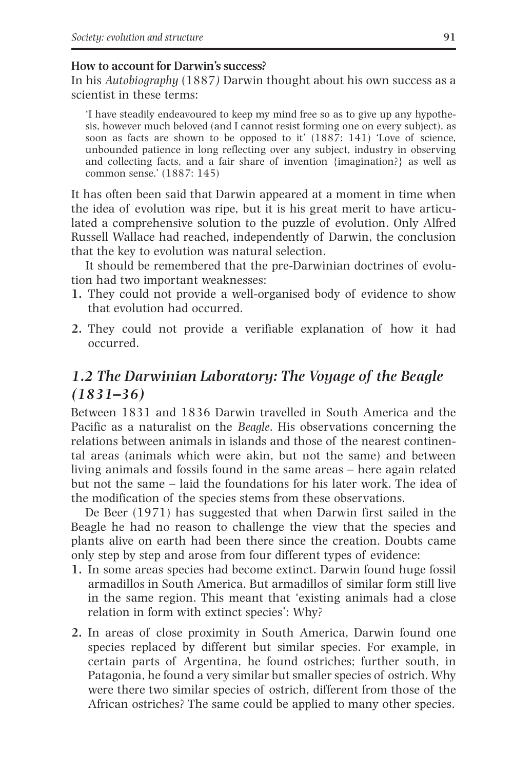#### **How to account for Darwin's success?**

In his *Autobiography* (1887*)* Darwin thought about his own success as a scientist in these terms:

'I have steadily endeavoured to keep my mind free so as to give up any hypothesis, however much beloved (and I cannot resist forming one on every subject), as soon as facts are shown to be opposed to it' (1887: 141) 'Love of science, unbounded patience in long reflecting over any subject, industry in observing and collecting facts, and a fair share of invention {imagination?} as well as common sense.' (1887: 145)

It has often been said that Darwin appeared at a moment in time when the idea of evolution was ripe, but it is his great merit to have articulated a comprehensive solution to the puzzle of evolution. Only Alfred Russell Wallace had reached, independently of Darwin, the conclusion that the key to evolution was natural selection.

It should be remembered that the pre-Darwinian doctrines of evolution had two important weaknesses:

- **1.** They could not provide a well-organised body of evidence to show that evolution had occurred.
- **2.** They could not provide a verifiable explanation of how it had occurred.

## *1.2 The Darwinian Laboratory: The Voyage of the Beagle (1831–36)*

Between 1831 and 1836 Darwin travelled in South America and the Pacific as a naturalist on the *Beagle*. His observations concerning the relations between animals in islands and those of the nearest continental areas (animals which were akin, but not the same) and between living animals and fossils found in the same areas – here again related but not the same – laid the foundations for his later work. The idea of the modification of the species stems from these observations.

De Beer (1971) has suggested that when Darwin first sailed in the Beagle he had no reason to challenge the view that the species and plants alive on earth had been there since the creation. Doubts came only step by step and arose from four different types of evidence:

- **1.** In some areas species had become extinct. Darwin found huge fossil armadillos in South America. But armadillos of similar form still live in the same region. This meant that 'existing animals had a close relation in form with extinct species': Why?
- **2.** In areas of close proximity in South America, Darwin found one species replaced by different but similar species. For example, in certain parts of Argentina, he found ostriches; further south, in Patagonia, he found a very similar but smaller species of ostrich. Why were there two similar species of ostrich, different from those of the African ostriches? The same could be applied to many other species.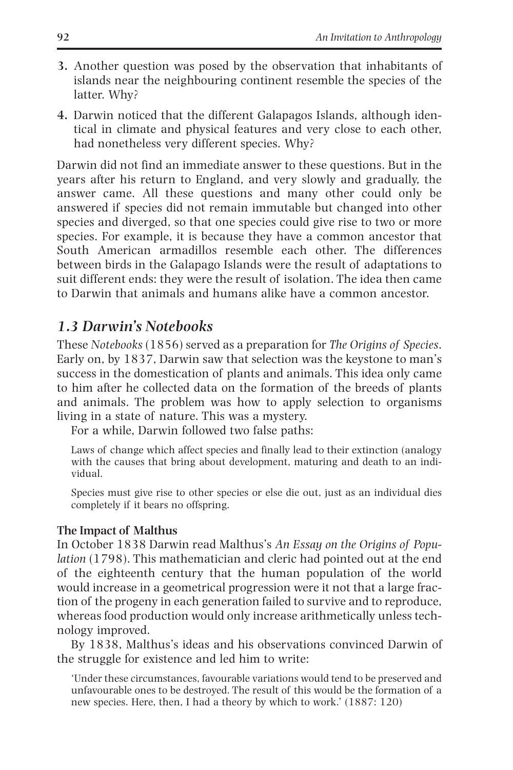- **3.** Another question was posed by the observation that inhabitants of islands near the neighbouring continent resemble the species of the latter. Why?
- **4.** Darwin noticed that the different Galapagos Islands, although identical in climate and physical features and very close to each other, had nonetheless very different species. Why?

Darwin did not find an immediate answer to these questions. But in the years after his return to England, and very slowly and gradually, the answer came. All these questions and many other could only be answered if species did not remain immutable but changed into other species and diverged, so that one species could give rise to two or more species. For example, it is because they have a common ancestor that South American armadillos resemble each other. The differences between birds in the Galapago Islands were the result of adaptations to suit different ends: they were the result of isolation. The idea then came to Darwin that animals and humans alike have a common ancestor.

## *1.3 Darwin's Notebooks*

These *Notebooks* (1856) served as a preparation for *The Origins of Species*. Early on, by 1837, Darwin saw that selection was the keystone to man's success in the domestication of plants and animals. This idea only came to him after he collected data on the formation of the breeds of plants and animals. The problem was how to apply selection to organisms living in a state of nature. This was a mystery.

For a while, Darwin followed two false paths:

Laws of change which affect species and finally lead to their extinction (analogy with the causes that bring about development, maturing and death to an individual.

Species must give rise to other species or else die out, just as an individual dies completely if it bears no offspring.

#### **The Impact of Malthus**

In October 1838 Darwin read Malthus's *An Essay on the Origins of Population* (1798). This mathematician and cleric had pointed out at the end of the eighteenth century that the human population of the world would increase in a geometrical progression were it not that a large fraction of the progeny in each generation failed to survive and to reproduce, whereas food production would only increase arithmetically unless technology improved.

By 1838, Malthus's ideas and his observations convinced Darwin of the struggle for existence and led him to write:

'Under these circumstances, favourable variations would tend to be preserved and unfavourable ones to be destroyed. The result of this would be the formation of a new species. Here, then, I had a theory by which to work.' (1887: 120)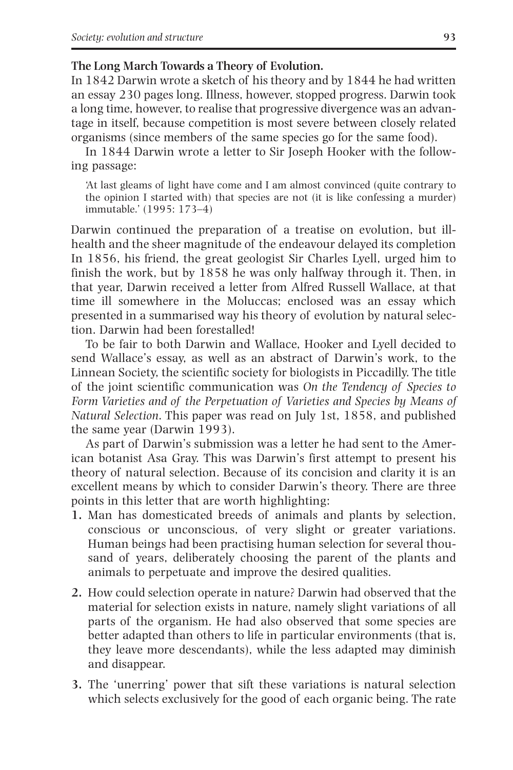#### **The Long March Towards a Theory of Evolution.**

In 1842 Darwin wrote a sketch of his theory and by 1844 he had written an essay 230 pages long. Illness, however, stopped progress. Darwin took a long time, however, to realise that progressive divergence was an advantage in itself, because competition is most severe between closely related organisms (since members of the same species go for the same food).

In 1844 Darwin wrote a letter to Sir Joseph Hooker with the following passage:

'At last gleams of light have come and I am almost convinced (quite contrary to the opinion I started with) that species are not (it is like confessing a murder) immutable.' (1995: 173–4)

Darwin continued the preparation of a treatise on evolution, but illhealth and the sheer magnitude of the endeavour delayed its completion In 1856, his friend, the great geologist Sir Charles Lyell, urged him to finish the work, but by 1858 he was only halfway through it. Then, in that year, Darwin received a letter from Alfred Russell Wallace, at that time ill somewhere in the Moluccas; enclosed was an essay which presented in a summarised way his theory of evolution by natural selection. Darwin had been forestalled!

To be fair to both Darwin and Wallace, Hooker and Lyell decided to send Wallace's essay, as well as an abstract of Darwin's work, to the Linnean Society, the scientific society for biologists in Piccadilly. The title of the joint scientific communication was *On the Tendency of Species to Form Varieties and of the Perpetuation of Varieties and Species by Means of Natural Selection*. This paper was read on July 1st, 1858, and published the same year (Darwin 1993).

As part of Darwin's submission was a letter he had sent to the American botanist Asa Gray. This was Darwin's first attempt to present his theory of natural selection. Because of its concision and clarity it is an excellent means by which to consider Darwin's theory. There are three points in this letter that are worth highlighting:

- **1.** Man has domesticated breeds of animals and plants by selection, conscious or unconscious, of very slight or greater variations. Human beings had been practising human selection for several thousand of years, deliberately choosing the parent of the plants and animals to perpetuate and improve the desired qualities.
- **2.** How could selection operate in nature? Darwin had observed that the material for selection exists in nature, namely slight variations of all parts of the organism. He had also observed that some species are better adapted than others to life in particular environments (that is, they leave more descendants), while the less adapted may diminish and disappear.
- **3.** The 'unerring' power that sift these variations is natural selection which selects exclusively for the good of each organic being. The rate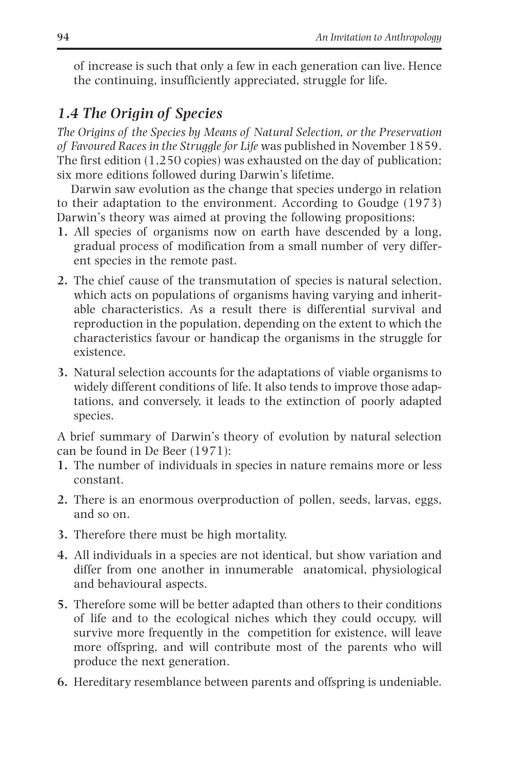of increase is such that only a few in each generation can live. Hence the continuing, insufficiently appreciated, struggle for life.

## *1.4 The Origin of Species*

*The Origins of the Species by Means of Natural Selection, or the Preservation of Favoured Races in the Struggle for Life* was published in November 1859. The first edition (1,250 copies) was exhausted on the day of publication; six more editions followed during Darwin's lifetime.

Darwin saw evolution as the change that species undergo in relation to their adaptation to the environment. According to Goudge (1973) Darwin's theory was aimed at proving the following propositions:

- **1.** All species of organisms now on earth have descended by a long, gradual process of modification from a small number of very different species in the remote past.
- **2.** The chief cause of the transmutation of species is natural selection, which acts on populations of organisms having varying and inheritable characteristics. As a result there is differential survival and reproduction in the population, depending on the extent to which the characteristics favour or handicap the organisms in the struggle for existence.
- **3.** Natural selection accounts for the adaptations of viable organisms to widely different conditions of life. It also tends to improve those adaptations, and conversely, it leads to the extinction of poorly adapted species.

A brief summary of Darwin's theory of evolution by natural selection can be found in De Beer (1971):

- **1.** The number of individuals in species in nature remains more or less constant.
- **2.** There is an enormous overproduction of pollen, seeds, larvas, eggs, and so on.
- **3.** Therefore there must be high mortality.
- **4.** All individuals in a species are not identical, but show variation and differ from one another in innumerable anatomical, physiological and behavioural aspects.
- **5.** Therefore some will be better adapted than others to their conditions of life and to the ecological niches which they could occupy, will survive more frequently in the competition for existence, will leave more offspring, and will contribute most of the parents who will produce the next generation.
- **6.** Hereditary resemblance between parents and offspring is undeniable.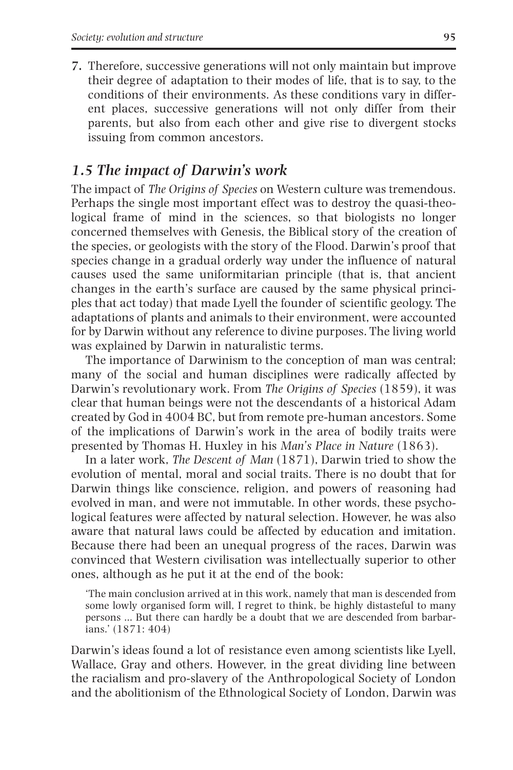**7.** Therefore, successive generations will not only maintain but improve their degree of adaptation to their modes of life, that is to say, to the conditions of their environments. As these conditions vary in different places, successive generations will not only differ from their parents, but also from each other and give rise to divergent stocks issuing from common ancestors.

#### *1.5 The impact of Darwin's work*

The impact of *The Origins of Species* on Western culture was tremendous. Perhaps the single most important effect was to destroy the quasi-theological frame of mind in the sciences, so that biologists no longer concerned themselves with Genesis, the Biblical story of the creation of the species, or geologists with the story of the Flood. Darwin's proof that species change in a gradual orderly way under the influence of natural causes used the same uniformitarian principle (that is, that ancient changes in the earth's surface are caused by the same physical principles that act today) that made Lyell the founder of scientific geology. The adaptations of plants and animals to their environment, were accounted for by Darwin without any reference to divine purposes. The living world was explained by Darwin in naturalistic terms.

The importance of Darwinism to the conception of man was central; many of the social and human disciplines were radically affected by Darwin's revolutionary work. From *The Origins of Species* (1859), it was clear that human beings were not the descendants of a historical Adam created by God in 4004 BC, but from remote pre-human ancestors. Some of the implications of Darwin's work in the area of bodily traits were presented by Thomas H. Huxley in his *Man's Place in Nature* (1863).

In a later work, *The Descent of Man* (1871), Darwin tried to show the evolution of mental, moral and social traits. There is no doubt that for Darwin things like conscience, religion, and powers of reasoning had evolved in man, and were not immutable. In other words, these psychological features were affected by natural selection. However, he was also aware that natural laws could be affected by education and imitation. Because there had been an unequal progress of the races, Darwin was convinced that Western civilisation was intellectually superior to other ones, although as he put it at the end of the book:

'The main conclusion arrived at in this work, namely that man is descended from some lowly organised form will, I regret to think, be highly distasteful to many persons … But there can hardly be a doubt that we are descended from barbarians.' (1871: 404)

Darwin's ideas found a lot of resistance even among scientists like Lyell, Wallace, Gray and others. However, in the great dividing line between the racialism and pro-slavery of the Anthropological Society of London and the abolitionism of the Ethnological Society of London, Darwin was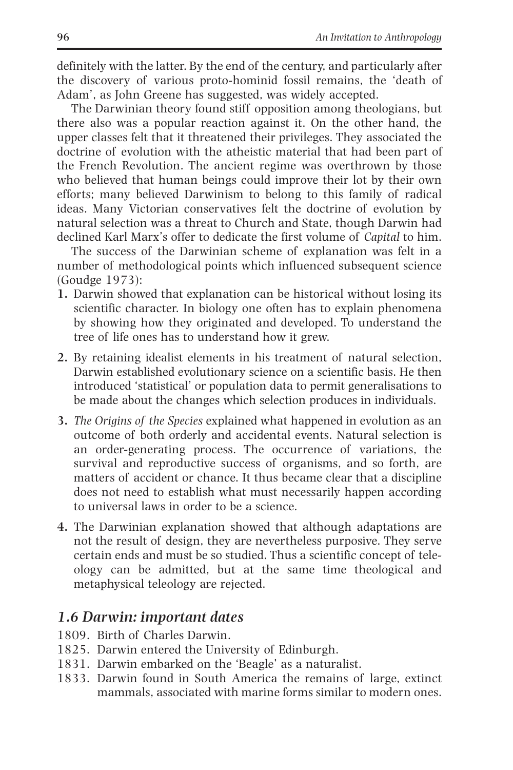definitely with the latter. By the end of the century, and particularly after the discovery of various proto-hominid fossil remains, the 'death of Adam', as John Greene has suggested, was widely accepted.

The Darwinian theory found stiff opposition among theologians, but there also was a popular reaction against it. On the other hand, the upper classes felt that it threatened their privileges. They associated the doctrine of evolution with the atheistic material that had been part of the French Revolution. The ancient regime was overthrown by those who believed that human beings could improve their lot by their own efforts; many believed Darwinism to belong to this family of radical ideas. Many Victorian conservatives felt the doctrine of evolution by natural selection was a threat to Church and State, though Darwin had declined Karl Marx's offer to dedicate the first volume of *Capital* to him.

The success of the Darwinian scheme of explanation was felt in a number of methodological points which influenced subsequent science (Goudge 1973):

- **1.** Darwin showed that explanation can be historical without losing its scientific character. In biology one often has to explain phenomena by showing how they originated and developed. To understand the tree of life ones has to understand how it grew.
- **2.** By retaining idealist elements in his treatment of natural selection, Darwin established evolutionary science on a scientific basis. He then introduced 'statistical' or population data to permit generalisations to be made about the changes which selection produces in individuals.
- **3.** *The Origins of the Species* explained what happened in evolution as an outcome of both orderly and accidental events. Natural selection is an order-generating process. The occurrence of variations, the survival and reproductive success of organisms, and so forth, are matters of accident or chance. It thus became clear that a discipline does not need to establish what must necessarily happen according to universal laws in order to be a science.
- **4.** The Darwinian explanation showed that although adaptations are not the result of design, they are nevertheless purposive. They serve certain ends and must be so studied. Thus a scientific concept of teleology can be admitted, but at the same time theological and metaphysical teleology are rejected.

## *1.6 Darwin: important dates*

- 1809. Birth of Charles Darwin.
- 1825. Darwin entered the University of Edinburgh.
- 1831. Darwin embarked on the 'Beagle' as a naturalist.
- 1833. Darwin found in South America the remains of large, extinct mammals, associated with marine forms similar to modern ones.